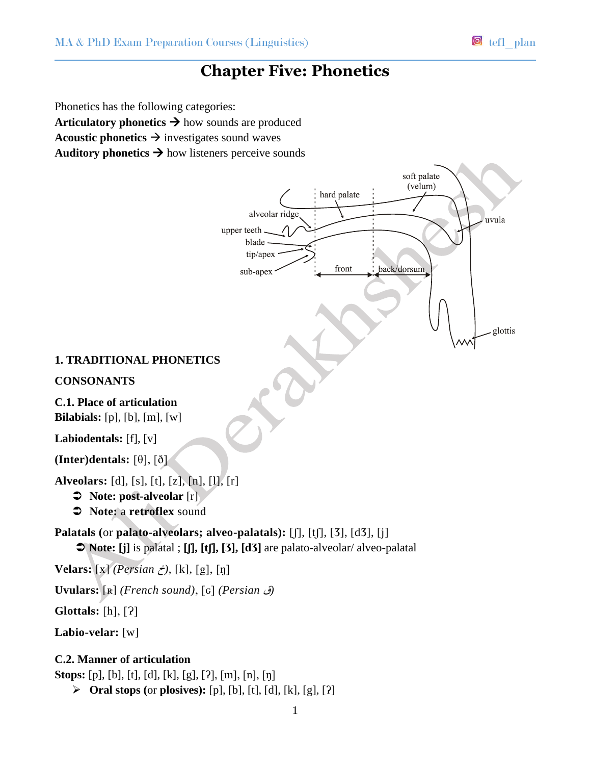# **Chapter Five: Phonetics**

Phonetics has the following categories: **Articulatory phonetics**  $\rightarrow$  how sounds are produced **Acoustic phonetics**  $\rightarrow$  investigates sound waves Auditory phonetics  $\rightarrow$  how listeners perceive sounds

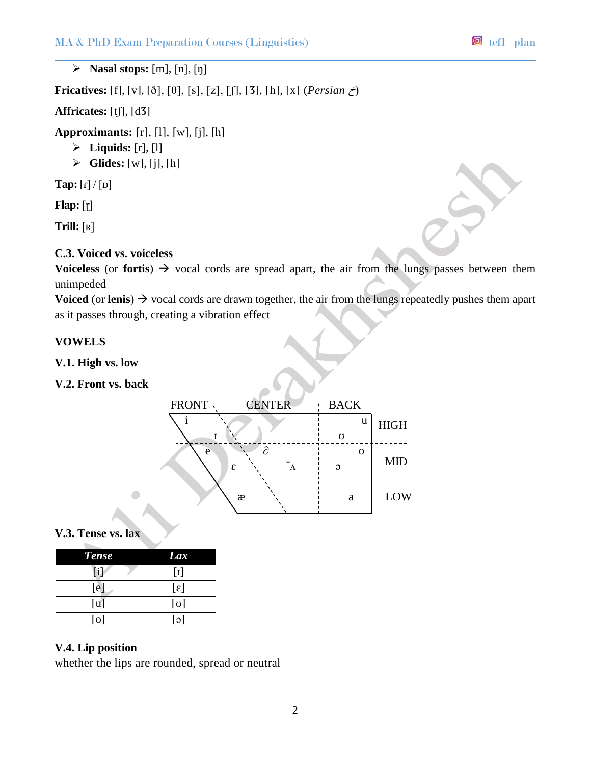$\triangleright$  **Nasal stops:**  $[m], [n], [n]$ 

**Fricatives:** [f], [v], [ð], [θ], [s], [*z*], [ʃ], [3], [h], [x] (*Persian*  $\zeta$ )

**Affricates:** [tʃ], [dӠ]

**Approximants:** [r], [l], [w], [j], [h]

- $\triangleright$  **Liquids:** [r], [l]
- **Glides:** [w], [j], [h]

**Tap:**  $\lceil \frac{n}{\rho} \rceil$ 

**Flap:** [ɽ]

**Trill:** [ʀ]

# **C.3. Voiced vs. voiceless**

**Voiceless** (or **fortis**)  $\rightarrow$  vocal cords are spread apart, the air from the lungs passes between them unimpeded

**Voiced** (or **lenis**)  $\rightarrow$  vocal cords are drawn together, the air from the lungs repeatedly pushes them apart as it passes through, creating a vibration effect

## **VOWELS**

**V.1. High vs. low**

**V.2. Front vs. back**

| FRONT | <b>CENTER</b>       | <b>BACK</b> |             |
|-------|---------------------|-------------|-------------|
|       |                     | u           | <b>HIGH</b> |
|       |                     | 75          |             |
| e     | д<br>$\frac{1}{26}$ |             | <b>MID</b>  |
|       | ε                   | $\Omega$    |             |
|       |                     |             |             |
|       | æ                   | a           | LOW         |
|       |                     |             |             |

## **V.3. Tense vs. lax**

| <b>Tense</b> | Lax                   |
|--------------|-----------------------|
| [i]          | $[1]$                 |
| [e]          | $[\epsilon]$          |
| [u]          | $[\sigma]$            |
| [o]          | $\lceil \circ \rceil$ |

 $\sqrt{2}$ 

## **V.4. Lip position**

whether the lips are rounded, spread or neutral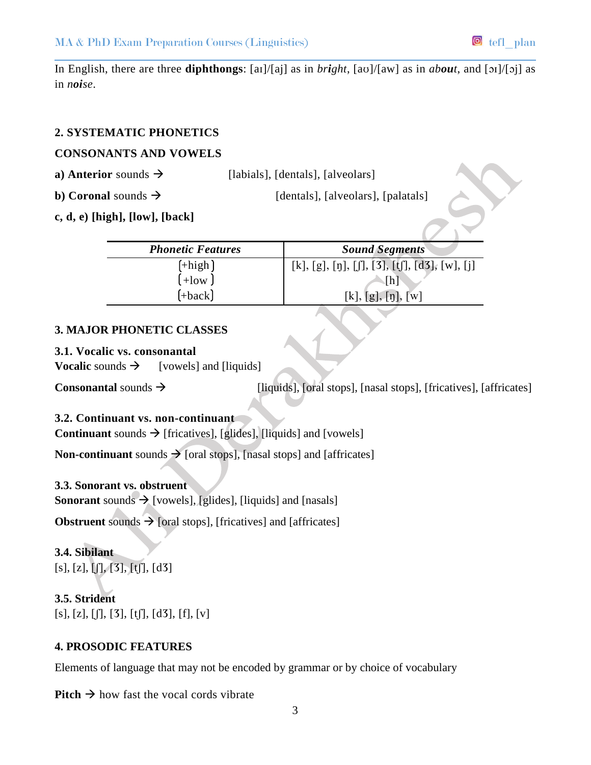In English, there are three **diphthongs**: [aɪ]/[aj] as in *bright*, [aʊ]/[aw] as in *about*, and [ɔɪ]/[ɔj] as in *noise*.

## **2. SYSTEMATIC PHONETICS**

## **CONSONANTS AND VOWELS**

**a) Anterior** sounds  $\rightarrow$  [labials], [dentals], [alveolars]

**b**) **Coronal** sounds  $\rightarrow$  [dentals], [alveolars], [palatals]

**c, d, e) [high], [low], [back]**

| <b>Phonetic Features</b> | <b>Sound Segments</b>                         |
|--------------------------|-----------------------------------------------|
| $[+high]$                | [k], [g], [ŋ], [ʃ], [3], [tʃ], [d3], [w], [j] |
| $+$ low J                | [h]                                           |
| $[+back]$                | [k], [g], [n], [w]                            |

# **3. MAJOR PHONETIC CLASSES**

## **3.1. Vocalic vs. consonantal**

**Vocalic** sounds  $\rightarrow$  [vowels] and [liquids]

**Consonantal** sounds  $\rightarrow$  [liquids], [oral stops], [nasal stops], [fricatives], [affricates]

# **3.2. Continuant vs. non-continuant**

**Continuant** sounds  $\rightarrow$  [fricatives], [glides], [liquids] and [vowels]

**Non-continuant** sounds  $\rightarrow$  [oral stops], [nasal stops] and [affricates]

# **3.3. Sonorant vs. obstruent**

**Sonorant** sounds  $\rightarrow$  [vowels], [glides], [liquids] and [nasals]

**Obstruent** sounds  $\rightarrow$  [oral stops], [fricatives] and [affricates]

**3.4. Sibilant**  $[s], [z], [\int], [3], [t], [d3]$ 

**3.5. Strident**  $[s], [z], [\int], [3], [t], [d3], [f], [v]$ 

# **4. PROSODIC FEATURES**

Elements of language that may not be encoded by grammar or by choice of vocabulary

**Pitch**  $\rightarrow$  how fast the vocal cords vibrate